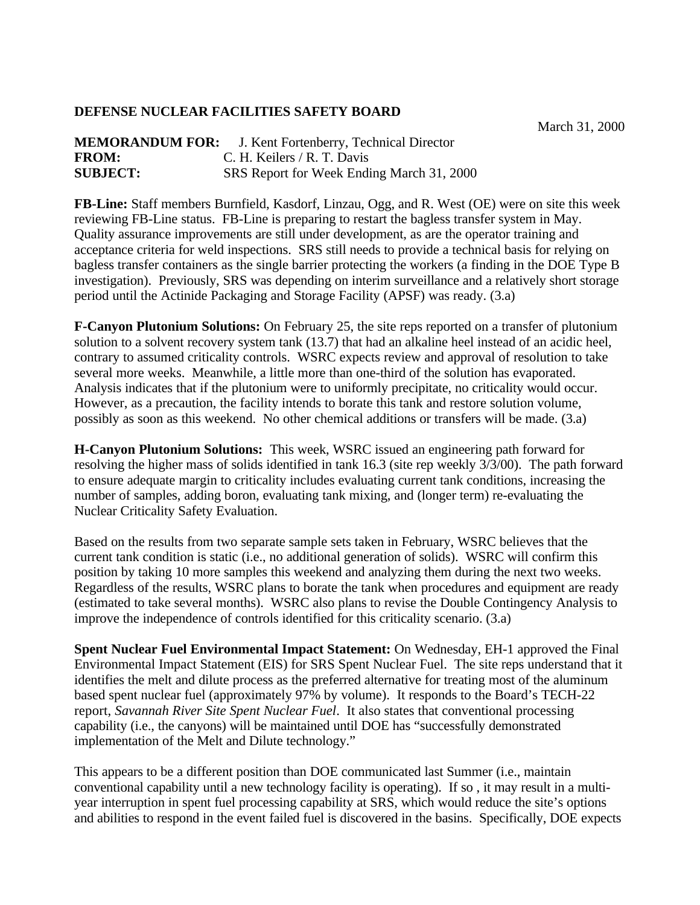## **DEFENSE NUCLEAR FACILITIES SAFETY BOARD**

March 31, 2000

| <b>MEMORANDUM FOR:</b> | J. Kent Fortenberry, Technical Director   |
|------------------------|-------------------------------------------|
| <b>FROM:</b>           | C. H. Keilers / R. T. Davis               |
| <b>SUBJECT:</b>        | SRS Report for Week Ending March 31, 2000 |

**FB-Line:** Staff members Burnfield, Kasdorf, Linzau, Ogg, and R. West (OE) were on site this week reviewing FB-Line status. FB-Line is preparing to restart the bagless transfer system in May. Quality assurance improvements are still under development, as are the operator training and acceptance criteria for weld inspections. SRS still needs to provide a technical basis for relying on bagless transfer containers as the single barrier protecting the workers (a finding in the DOE Type B investigation). Previously, SRS was depending on interim surveillance and a relatively short storage period until the Actinide Packaging and Storage Facility (APSF) was ready. (3.a)

**F-Canyon Plutonium Solutions:** On February 25, the site reps reported on a transfer of plutonium solution to a solvent recovery system tank (13.7) that had an alkaline heel instead of an acidic heel, contrary to assumed criticality controls. WSRC expects review and approval of resolution to take several more weeks. Meanwhile, a little more than one-third of the solution has evaporated. Analysis indicates that if the plutonium were to uniformly precipitate, no criticality would occur. However, as a precaution, the facility intends to borate this tank and restore solution volume, possibly as soon as this weekend. No other chemical additions or transfers will be made. (3.a)

**H-Canyon Plutonium Solutions:** This week, WSRC issued an engineering path forward for resolving the higher mass of solids identified in tank 16.3 (site rep weekly 3/3/00). The path forward to ensure adequate margin to criticality includes evaluating current tank conditions, increasing the number of samples, adding boron, evaluating tank mixing, and (longer term) re-evaluating the Nuclear Criticality Safety Evaluation.

Based on the results from two separate sample sets taken in February, WSRC believes that the current tank condition is static (i.e., no additional generation of solids). WSRC will confirm this position by taking 10 more samples this weekend and analyzing them during the next two weeks. Regardless of the results, WSRC plans to borate the tank when procedures and equipment are ready (estimated to take several months). WSRC also plans to revise the Double Contingency Analysis to improve the independence of controls identified for this criticality scenario. (3.a)

**Spent Nuclear Fuel Environmental Impact Statement:** On Wednesday, EH-1 approved the Final Environmental Impact Statement (EIS) for SRS Spent Nuclear Fuel. The site reps understand that it identifies the melt and dilute process as the preferred alternative for treating most of the aluminum based spent nuclear fuel (approximately 97% by volume). It responds to the Board's TECH-22 report, *Savannah River Site Spent Nuclear Fuel*. It also states that conventional processing capability (i.e., the canyons) will be maintained until DOE has "successfully demonstrated implementation of the Melt and Dilute technology."

This appears to be a different position than DOE communicated last Summer (i.e., maintain conventional capability until a new technology facility is operating). If so , it may result in a multiyear interruption in spent fuel processing capability at SRS, which would reduce the site's options and abilities to respond in the event failed fuel is discovered in the basins. Specifically, DOE expects